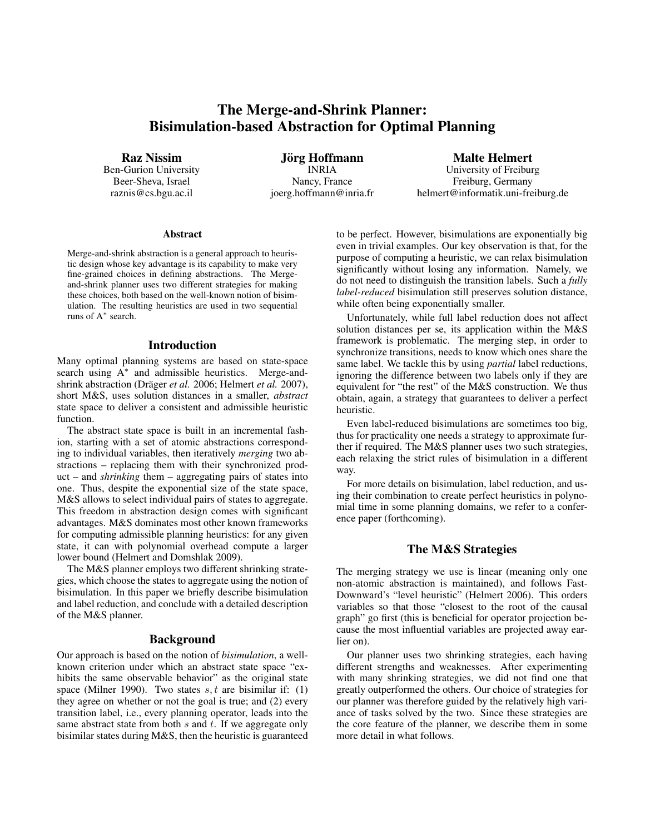# The Merge-and-Shrink Planner: Bisimulation-based Abstraction for Optimal Planning

Raz Nissim

Ben-Gurion University Beer-Sheva, Israel raznis@cs.bgu.ac.il

Jörg Hoffmann INRIA Nancy, France joerg.hoffmann@inria.fr

Malte Helmert University of Freiburg Freiburg, Germany helmert@informatik.uni-freiburg.de

### Abstract

Merge-and-shrink abstraction is a general approach to heuristic design whose key advantage is its capability to make very fine-grained choices in defining abstractions. The Mergeand-shrink planner uses two different strategies for making these choices, both based on the well-known notion of bisimulation. The resulting heuristics are used in two sequential runs of A<sup>∗</sup> search.

### Introduction

Many optimal planning systems are based on state-space search using A<sup>\*</sup> and admissible heuristics. Merge-andshrink abstraction (Dräger *et al.* 2006; Helmert *et al.* 2007), short M&S, uses solution distances in a smaller, *abstract* state space to deliver a consistent and admissible heuristic function.

The abstract state space is built in an incremental fashion, starting with a set of atomic abstractions corresponding to individual variables, then iteratively *merging* two abstractions – replacing them with their synchronized product – and *shrinking* them – aggregating pairs of states into one. Thus, despite the exponential size of the state space, M&S allows to select individual pairs of states to aggregate. This freedom in abstraction design comes with significant advantages. M&S dominates most other known frameworks for computing admissible planning heuristics: for any given state, it can with polynomial overhead compute a larger lower bound (Helmert and Domshlak 2009).

The M&S planner employs two different shrinking strategies, which choose the states to aggregate using the notion of bisimulation. In this paper we briefly describe bisimulation and label reduction, and conclude with a detailed description of the M&S planner.

### Background

Our approach is based on the notion of *bisimulation*, a wellknown criterion under which an abstract state space "exhibits the same observable behavior" as the original state space (Milner 1990). Two states  $s, t$  are bisimilar if: (1) they agree on whether or not the goal is true; and (2) every transition label, i.e., every planning operator, leads into the same abstract state from both  $s$  and  $t$ . If we aggregate only bisimilar states during M&S, then the heuristic is guaranteed to be perfect. However, bisimulations are exponentially big even in trivial examples. Our key observation is that, for the purpose of computing a heuristic, we can relax bisimulation significantly without losing any information. Namely, we do not need to distinguish the transition labels. Such a *fully label-reduced* bisimulation still preserves solution distance, while often being exponentially smaller.

Unfortunately, while full label reduction does not affect solution distances per se, its application within the M&S framework is problematic. The merging step, in order to synchronize transitions, needs to know which ones share the same label. We tackle this by using *partial* label reductions, ignoring the difference between two labels only if they are equivalent for "the rest" of the M&S construction. We thus obtain, again, a strategy that guarantees to deliver a perfect heuristic.

Even label-reduced bisimulations are sometimes too big, thus for practicality one needs a strategy to approximate further if required. The M&S planner uses two such strategies, each relaxing the strict rules of bisimulation in a different way.

For more details on bisimulation, label reduction, and using their combination to create perfect heuristics in polynomial time in some planning domains, we refer to a conference paper (forthcoming).

# The M&S Strategies

The merging strategy we use is linear (meaning only one non-atomic abstraction is maintained), and follows Fast-Downward's "level heuristic" (Helmert 2006). This orders variables so that those "closest to the root of the causal graph" go first (this is beneficial for operator projection because the most influential variables are projected away earlier on).

Our planner uses two shrinking strategies, each having different strengths and weaknesses. After experimenting with many shrinking strategies, we did not find one that greatly outperformed the others. Our choice of strategies for our planner was therefore guided by the relatively high variance of tasks solved by the two. Since these strategies are the core feature of the planner, we describe them in some more detail in what follows.